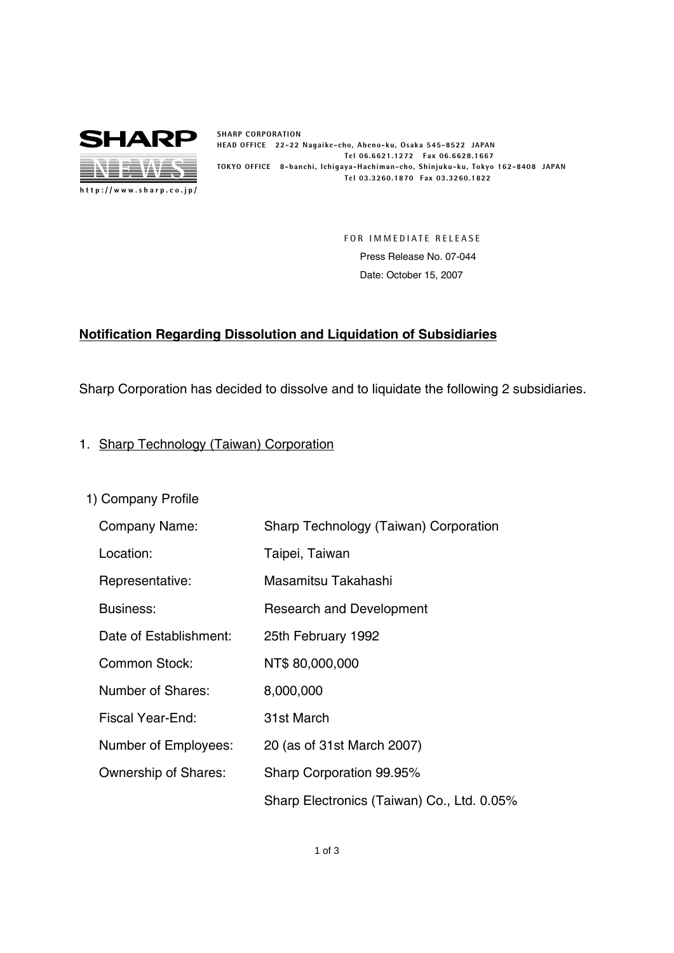

**SHARP CORPORATION HEAD OFFICE 22-22 Nagaike-cho, Abeno-ku, Osaka 545-8522 JAPAN Tel 06.6621.1272 Fax 06.6628.1667 TOKYO OFFICE 8-banchi, Ichigaya-Hachiman-cho, Shinjuku-ku, Tokyo 162-8408 JAPAN Tel 03.3260.1870 Fax 03.3260.1822**

> **FOR IMMEDIATE RELEASE** Press Release No. 07-044 Date: October 15, 2007

# **Notification Regarding Dissolution and Liquidation of Subsidiaries**

Sharp Corporation has decided to dissolve and to liquidate the following 2 subsidiaries.

- 1. Sharp Technology (Taiwan) Corporation
	- 1) Company Profile

| Company Name:               | Sharp Technology (Taiwan) Corporation      |
|-----------------------------|--------------------------------------------|
| Location:                   | Taipei, Taiwan                             |
| Representative:             | Masamitsu Takahashi                        |
| Business:                   | <b>Research and Development</b>            |
| Date of Establishment:      | 25th February 1992                         |
| <b>Common Stock:</b>        | NT\$ 80,000,000                            |
| Number of Shares:           | 8,000,000                                  |
| Fiscal Year-End:            | 31st March                                 |
| Number of Employees:        | 20 (as of 31st March 2007)                 |
| <b>Ownership of Shares:</b> | Sharp Corporation 99.95%                   |
|                             | Sharp Electronics (Taiwan) Co., Ltd. 0.05% |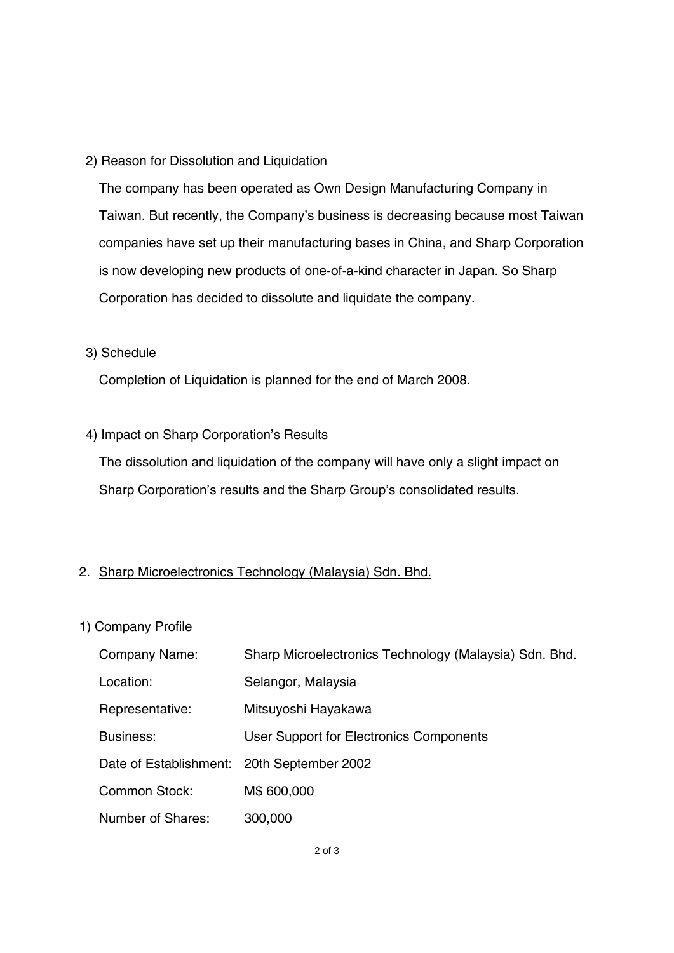## 2) Reason for Dissolution and Liquidation

The company has been operated as Own Design Manufacturing Company in Taiwan. But recently, the Company's business is decreasing because most Taiwan companies have set up their manufacturing bases in China, and Sharp Corporation is now developing new products of one-of-a-kind character in Japan. So Sharp Corporation has decided to dissolute and liquidate the company.

### 3) Schedule

Completion of Liquidation is planned for the end of March 2008.

## 4) Impact on Sharp Corporation's Results

The dissolution and liquidation of the company will have only a slight impact on Sharp Corporation's results and the Sharp Group's consolidated results.

## 2. Sharp Microelectronics Technology (Malaysia) Sdn. Bhd.

## 1) Company Profile

| Company Name:                              | Sharp Microelectronics Technology (Malaysia) Sdn. Bhd. |
|--------------------------------------------|--------------------------------------------------------|
| Location:                                  | Selangor, Malaysia                                     |
| Representative:                            | Mitsuyoshi Hayakawa                                    |
| Business:                                  | User Support for Electronics Components                |
| Date of Establishment: 20th September 2002 |                                                        |
| <b>Common Stock:</b>                       | M\$ 600,000                                            |
| Number of Shares:                          | 300,000                                                |